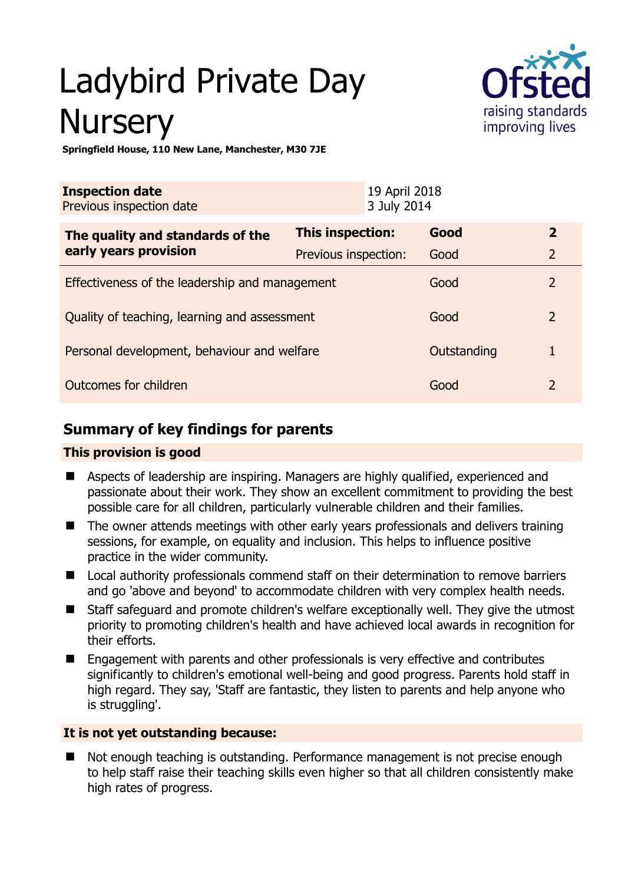# Ladybird Private Day **Nursery**



**Springfield House, 110 New Lane, Manchester, M30 7JE** 

| <b>Inspection date</b><br>Previous inspection date |                         | 19 April 2018<br>3 July 2014 |             |                |
|----------------------------------------------------|-------------------------|------------------------------|-------------|----------------|
| The quality and standards of the                   | <b>This inspection:</b> |                              | Good        | $\overline{2}$ |
| early years provision                              | Previous inspection:    |                              | Good        | $\overline{2}$ |
| Effectiveness of the leadership and management     |                         |                              | Good        | $\overline{2}$ |
| Quality of teaching, learning and assessment       |                         |                              | Good        | $\overline{2}$ |
| Personal development, behaviour and welfare        |                         |                              | Outstanding |                |
| Outcomes for children                              |                         |                              | Good        | 2              |

# **Summary of key findings for parents**

# **This provision is good**

- Aspects of leadership are inspiring. Managers are highly qualified, experienced and passionate about their work. They show an excellent commitment to providing the best possible care for all children, particularly vulnerable children and their families.
- The owner attends meetings with other early vears professionals and delivers training sessions, for example, on equality and inclusion. This helps to influence positive practice in the wider community.
- Local authority professionals commend staff on their determination to remove barriers and go 'above and beyond' to accommodate children with very complex health needs.
- Staff safeguard and promote children's welfare exceptionally well. They give the utmost priority to promoting children's health and have achieved local awards in recognition for their efforts.
- Engagement with parents and other professionals is very effective and contributes significantly to children's emotional well-being and good progress. Parents hold staff in high regard. They say, 'Staff are fantastic, they listen to parents and help anyone who is struggling'.

# **It is not yet outstanding because:**

 Not enough teaching is outstanding. Performance management is not precise enough to help staff raise their teaching skills even higher so that all children consistently make high rates of progress.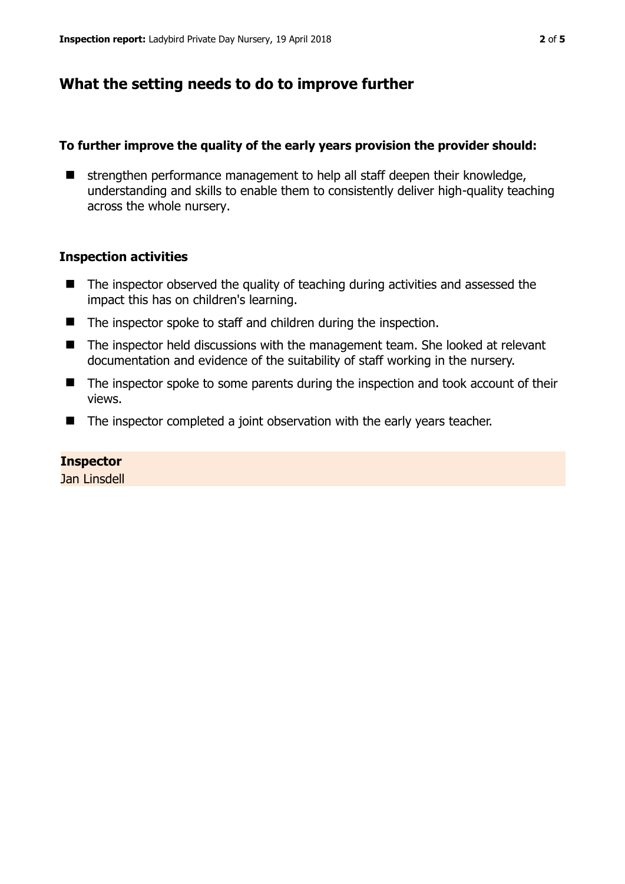# **What the setting needs to do to improve further**

#### **To further improve the quality of the early years provision the provider should:**

 $\blacksquare$  strengthen performance management to help all staff deepen their knowledge, understanding and skills to enable them to consistently deliver high-quality teaching across the whole nursery.

#### **Inspection activities**

- The inspector observed the quality of teaching during activities and assessed the impact this has on children's learning.
- The inspector spoke to staff and children during the inspection.
- The inspector held discussions with the management team. She looked at relevant documentation and evidence of the suitability of staff working in the nursery.
- The inspector spoke to some parents during the inspection and took account of their views.
- The inspector completed a joint observation with the early years teacher.

#### **Inspector**

Jan Linsdell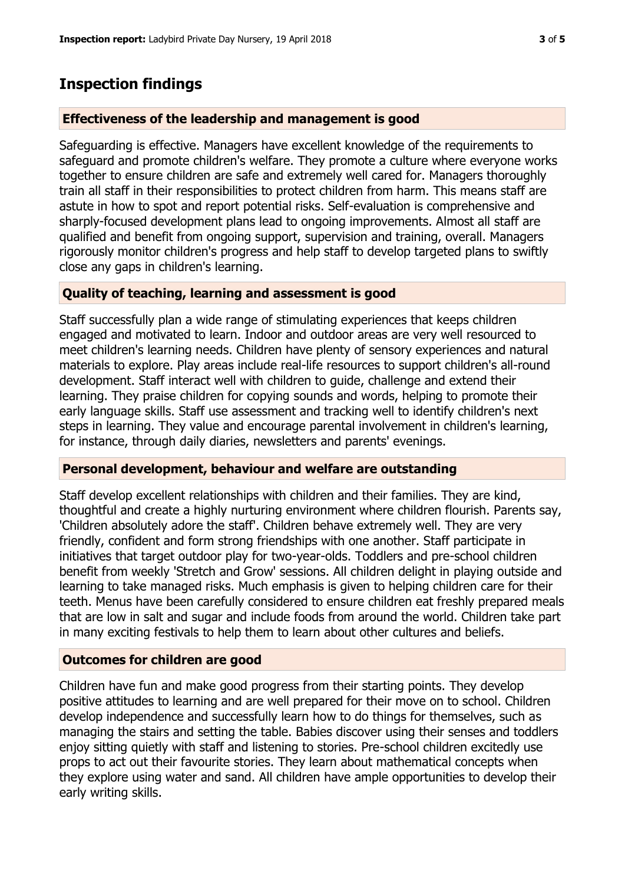# **Inspection findings**

## **Effectiveness of the leadership and management is good**

Safeguarding is effective. Managers have excellent knowledge of the requirements to safeguard and promote children's welfare. They promote a culture where everyone works together to ensure children are safe and extremely well cared for. Managers thoroughly train all staff in their responsibilities to protect children from harm. This means staff are astute in how to spot and report potential risks. Self-evaluation is comprehensive and sharply-focused development plans lead to ongoing improvements. Almost all staff are qualified and benefit from ongoing support, supervision and training, overall. Managers rigorously monitor children's progress and help staff to develop targeted plans to swiftly close any gaps in children's learning.

## **Quality of teaching, learning and assessment is good**

Staff successfully plan a wide range of stimulating experiences that keeps children engaged and motivated to learn. Indoor and outdoor areas are very well resourced to meet children's learning needs. Children have plenty of sensory experiences and natural materials to explore. Play areas include real-life resources to support children's all-round development. Staff interact well with children to guide, challenge and extend their learning. They praise children for copying sounds and words, helping to promote their early language skills. Staff use assessment and tracking well to identify children's next steps in learning. They value and encourage parental involvement in children's learning, for instance, through daily diaries, newsletters and parents' evenings.

## **Personal development, behaviour and welfare are outstanding**

Staff develop excellent relationships with children and their families. They are kind, thoughtful and create a highly nurturing environment where children flourish. Parents say, 'Children absolutely adore the staff'. Children behave extremely well. They are very friendly, confident and form strong friendships with one another. Staff participate in initiatives that target outdoor play for two-year-olds. Toddlers and pre-school children benefit from weekly 'Stretch and Grow' sessions. All children delight in playing outside and learning to take managed risks. Much emphasis is given to helping children care for their teeth. Menus have been carefully considered to ensure children eat freshly prepared meals that are low in salt and sugar and include foods from around the world. Children take part in many exciting festivals to help them to learn about other cultures and beliefs.

## **Outcomes for children are good**

Children have fun and make good progress from their starting points. They develop positive attitudes to learning and are well prepared for their move on to school. Children develop independence and successfully learn how to do things for themselves, such as managing the stairs and setting the table. Babies discover using their senses and toddlers enjoy sitting quietly with staff and listening to stories. Pre-school children excitedly use props to act out their favourite stories. They learn about mathematical concepts when they explore using water and sand. All children have ample opportunities to develop their early writing skills.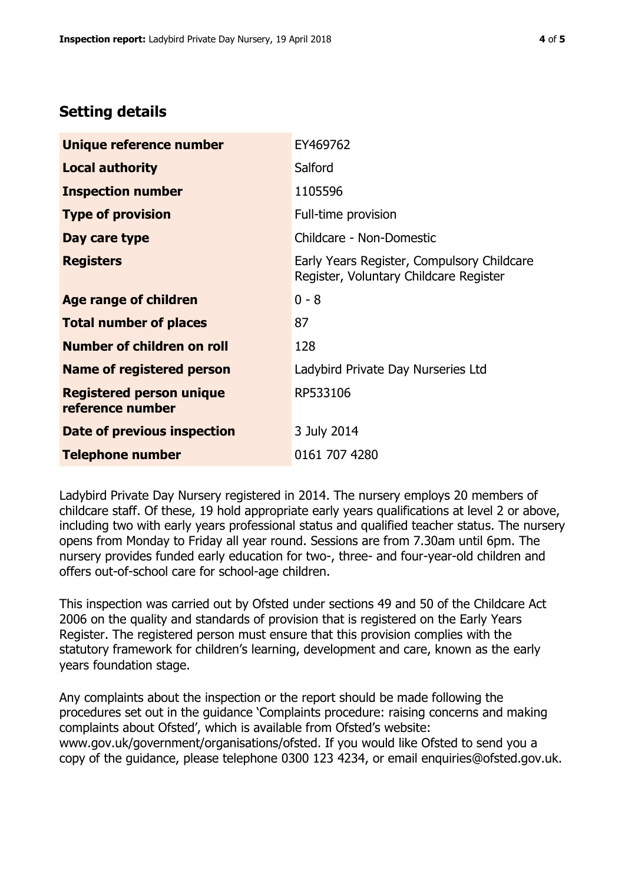# **Setting details**

| Unique reference number                             | EY469762                                                                             |  |
|-----------------------------------------------------|--------------------------------------------------------------------------------------|--|
| <b>Local authority</b>                              | Salford                                                                              |  |
| <b>Inspection number</b>                            | 1105596                                                                              |  |
| <b>Type of provision</b>                            | Full-time provision                                                                  |  |
| Day care type                                       | Childcare - Non-Domestic                                                             |  |
| <b>Registers</b>                                    | Early Years Register, Compulsory Childcare<br>Register, Voluntary Childcare Register |  |
| Age range of children                               | $0 - 8$                                                                              |  |
| <b>Total number of places</b>                       | 87                                                                                   |  |
| Number of children on roll                          | 128                                                                                  |  |
| Name of registered person                           | Ladybird Private Day Nurseries Ltd                                                   |  |
| <b>Registered person unique</b><br>reference number | RP533106                                                                             |  |
| Date of previous inspection                         | 3 July 2014                                                                          |  |
| <b>Telephone number</b>                             | 0161 707 4280                                                                        |  |

Ladybird Private Day Nursery registered in 2014. The nursery employs 20 members of childcare staff. Of these, 19 hold appropriate early years qualifications at level 2 or above, including two with early years professional status and qualified teacher status. The nursery opens from Monday to Friday all year round. Sessions are from 7.30am until 6pm. The nursery provides funded early education for two-, three- and four-year-old children and offers out-of-school care for school-age children.

This inspection was carried out by Ofsted under sections 49 and 50 of the Childcare Act 2006 on the quality and standards of provision that is registered on the Early Years Register. The registered person must ensure that this provision complies with the statutory framework for children's learning, development and care, known as the early years foundation stage.

Any complaints about the inspection or the report should be made following the procedures set out in the guidance 'Complaints procedure: raising concerns and making complaints about Ofsted', which is available from Ofsted's website: www.gov.uk/government/organisations/ofsted. If you would like Ofsted to send you a copy of the guidance, please telephone 0300 123 4234, or email enquiries@ofsted.gov.uk.